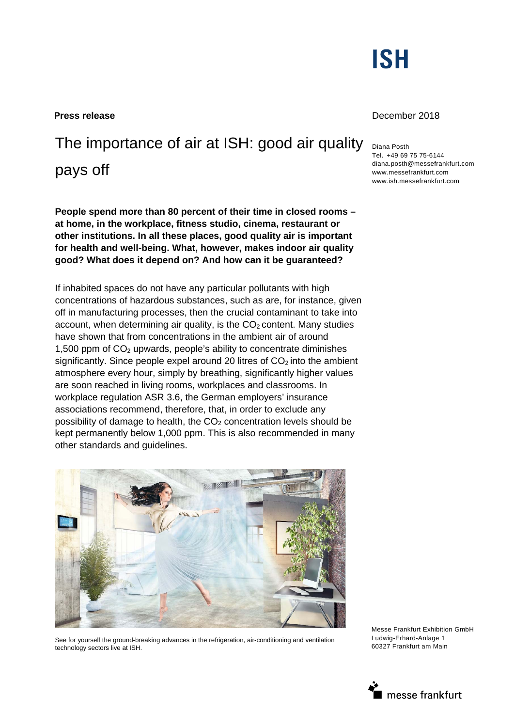

# The importance of air at ISH: good air quality

pays off

**People spend more than 80 percent of their time in closed rooms – at home, in the workplace, fitness studio, cinema, restaurant or other institutions. In all these places, good quality air is important for health and well-being. What, however, makes indoor air quality good? What does it depend on? And how can it be guaranteed?**

If inhabited spaces do not have any particular pollutants with high concentrations of hazardous substances, such as are, for instance, given off in manufacturing processes, then the crucial contaminant to take into account, when determining air quality, is the  $CO<sub>2</sub>$  content. Many studies have shown that from concentrations in the ambient air of around 1,500 ppm of  $CO<sub>2</sub>$  upwards, people's ability to concentrate diminishes significantly. Since people expel around 20 litres of  $CO<sub>2</sub>$  into the ambient atmosphere every hour, simply by breathing, significantly higher values are soon reached in living rooms, workplaces and classrooms. In workplace regulation ASR 3.6, the German employers' insurance associations recommend, therefore, that, in order to exclude any possibility of damage to health, the  $CO<sub>2</sub>$  concentration levels should be kept permanently below 1,000 ppm. This is also recommended in many other standards and guidelines.



See for yourself the ground-breaking advances in the refrigeration, air-conditioning and ventilation technology sectors live at ISH.



### **Press release** December 2018

Diana Posth Tel. +49 69 75 75-6144 diana.posth@messefrankfurt.com www.messefrankfurt.com www.ish.messefrankfurt.com

Messe Frankfurt Exhibition GmbH Ludwig-Erhard-Anlage 1 60327 Frankfurt am Main

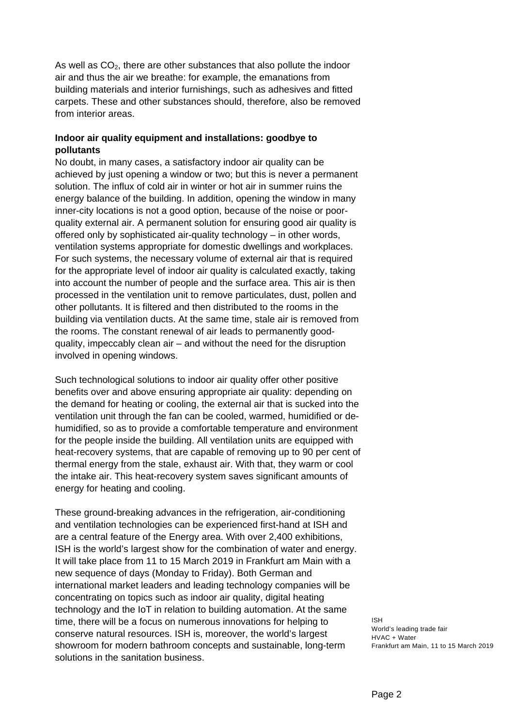As well as  $CO<sub>2</sub>$ , there are other substances that also pollute the indoor air and thus the air we breathe: for example, the emanations from building materials and interior furnishings, such as adhesives and fitted carpets. These and other substances should, therefore, also be removed from interior areas.

## **Indoor air quality equipment and installations: goodbye to pollutants**

No doubt, in many cases, a satisfactory indoor air quality can be achieved by just opening a window or two; but this is never a permanent solution. The influx of cold air in winter or hot air in summer ruins the energy balance of the building. In addition, opening the window in many inner-city locations is not a good option, because of the noise or poorquality external air. A permanent solution for ensuring good air quality is offered only by sophisticated air-quality technology – in other words, ventilation systems appropriate for domestic dwellings and workplaces. For such systems, the necessary volume of external air that is required for the appropriate level of indoor air quality is calculated exactly, taking into account the number of people and the surface area. This air is then processed in the ventilation unit to remove particulates, dust, pollen and other pollutants. It is filtered and then distributed to the rooms in the building via ventilation ducts. At the same time, stale air is removed from the rooms. The constant renewal of air leads to permanently goodquality, impeccably clean air – and without the need for the disruption involved in opening windows.

Such technological solutions to indoor air quality offer other positive benefits over and above ensuring appropriate air quality: depending on the demand for heating or cooling, the external air that is sucked into the ventilation unit through the fan can be cooled, warmed, humidified or dehumidified, so as to provide a comfortable temperature and environment for the people inside the building. All ventilation units are equipped with heat-recovery systems, that are capable of removing up to 90 per cent of thermal energy from the stale, exhaust air. With that, they warm or cool the intake air. This heat-recovery system saves significant amounts of energy for heating and cooling.

These ground-breaking advances in the refrigeration, air-conditioning and ventilation technologies can be experienced first-hand at ISH and are a central feature of the Energy area. With over 2,400 exhibitions, ISH is the world's largest show for the combination of water and energy. It will take place from 11 to 15 March 2019 in Frankfurt am Main with a new sequence of days (Monday to Friday). Both German and international market leaders and leading technology companies will be concentrating on topics such as indoor air quality, digital heating technology and the IoT in relation to building automation. At the same time, there will be a focus on numerous innovations for helping to conserve natural resources. ISH is, moreover, the world's largest showroom for modern bathroom concepts and sustainable, long-term solutions in the sanitation business.

ISH World's leading trade fair HVAC + Water Frankfurt am Main, 11 to 15 March 2019